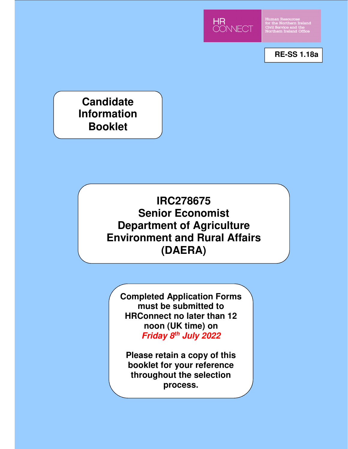

Human Resources<br>for the Northern Irelan<br>Civil Service and the<br>Northern Ireland Office

**RE-SS 1.18a**

**Candidate Information Booklet**

# **IRC278675 Senior Economist Department of Agriculture Environment and Rural Affairs (DAERA)**

**Completed Application Forms must be submitted to HRConnect no later than 12 noon (UK time) on Friday 8th July 2022** 

**Please retain a copy of this booklet for your reference throughout the selection process.**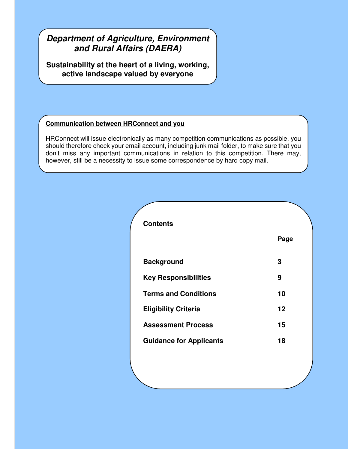## **Department of Agriculture, Environment Annex B 15 and Rural Affairs (DAERA)**

**Sustainability at the heart of a living, working, active landscape valued by everyone**

## **Communication between HRConnect and you**

HRConnect will issue electronically as many competition communications as possible, you should therefore check your email account, including junk mail folder, to make sure that you don't miss any important communications in relation to this competition. There may, however, still be a necessity to issue some correspondence by hard copy mail.

| <b>Contents</b>                |      |
|--------------------------------|------|
|                                | Page |
| <b>Background</b>              | 3    |
| <b>Key Responsibilities</b>    | 9    |
| <b>Terms and Conditions</b>    | 10   |
| <b>Eligibility Criteria</b>    | 12   |
| <b>Assessment Process</b>      | 15   |
| <b>Guidance for Applicants</b> | 18   |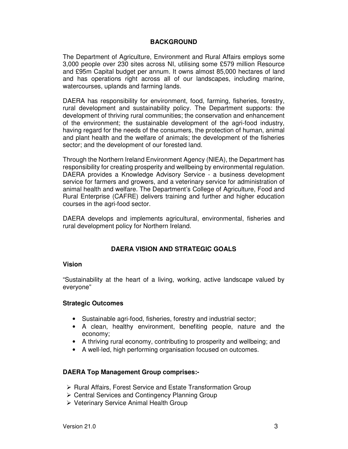## **BACKGROUND**

The Department of Agriculture, Environment and Rural Affairs employs some 3,000 people over 230 sites across NI, utilising some £579 million Resource and £95m Capital budget per annum. It owns almost 85,000 hectares of land and has operations right across all of our landscapes, including marine, watercourses, uplands and farming lands.

DAERA has responsibility for environment, food, farming, fisheries, forestry, rural development and sustainability policy. The Department supports: the development of thriving rural communities; the conservation and enhancement of the environment; the sustainable development of the agri-food industry, having regard for the needs of the consumers, the protection of human, animal and plant health and the welfare of animals; the development of the fisheries sector; and the development of our forested land.

Through the Northern Ireland Environment Agency (NIEA), the Department has responsibility for creating prosperity and wellbeing by environmental regulation. DAERA provides a Knowledge Advisory Service - a business development service for farmers and growers, and a veterinary service for administration of animal health and welfare. The Department's College of Agriculture, Food and Rural Enterprise (CAFRE) delivers training and further and higher education courses in the agri-food sector.

DAERA develops and implements agricultural, environmental, fisheries and rural development policy for Northern Ireland.

## **DAERA VISION AND STRATEGIC GOALS**

#### **Vision**

"Sustainability at the heart of a living, working, active landscape valued by everyone"

## **Strategic Outcomes**

- Sustainable agri-food, fisheries, forestry and industrial sector;
- A clean, healthy environment, benefiting people, nature and the economy;
- A thriving rural economy, contributing to prosperity and wellbeing; and
- A well-led, high performing organisation focused on outcomes.

## **DAERA Top Management Group comprises:-**

- $\triangleright$  Rural Affairs, Forest Service and Estate Transformation Group
- Central Services and Contingency Planning Group
- Veterinary Service Animal Health Group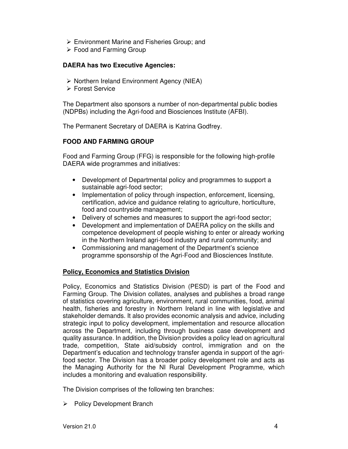- Environment Marine and Fisheries Group; and
- $\triangleright$  Food and Farming Group

## **DAERA has two Executive Agencies:**

- $\triangleright$  Northern Ireland Environment Agency (NIEA)
- Forest Service

The Department also sponsors a number of non-departmental public bodies (NDPBs) including the Agri-food and Biosciences Institute (AFBI).

The Permanent Secretary of DAERA is Katrina Godfrey.

## **FOOD AND FARMING GROUP**

Food and Farming Group (FFG) is responsible for the following high-profile DAERA wide programmes and initiatives:

- Development of Departmental policy and programmes to support a sustainable agri-food sector;
- Implementation of policy through inspection, enforcement, licensing, certification, advice and guidance relating to agriculture, horticulture, food and countryside management;
- Delivery of schemes and measures to support the agri-food sector;
- Development and implementation of DAERA policy on the skills and competence development of people wishing to enter or already working in the Northern Ireland agri-food industry and rural community; and
- Commissioning and management of the Department's science programme sponsorship of the Agri-Food and Biosciences Institute.

## **Policy, Economics and Statistics Division**

Policy, Economics and Statistics Division (PESD) is part of the Food and Farming Group. The Division collates, analyses and publishes a broad range of statistics covering agriculture, environment, rural communities, food, animal health, fisheries and forestry in Northern Ireland in line with legislative and stakeholder demands. It also provides economic analysis and advice, including strategic input to policy development, implementation and resource allocation across the Department, including through business case development and quality assurance. In addition, the Division provides a policy lead on agricultural trade, competition, State aid/subsidy control, immigration and on the Department's education and technology transfer agenda in support of the agrifood sector. The Division has a broader policy development role and acts as the Managing Authority for the NI Rural Development Programme, which includes a monitoring and evaluation responsibility.

The Division comprises of the following ten branches:

 $\triangleright$  Policy Development Branch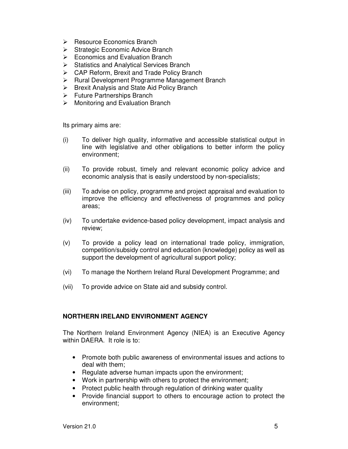- $\triangleright$  Resource Economics Branch
- $\triangleright$  Strategic Economic Advice Branch
- $\triangleright$  Economics and Evaluation Branch
- $\triangleright$  Statistics and Analytical Services Branch
- CAP Reform, Brexit and Trade Policy Branch
- $\triangleright$  Rural Development Programme Management Branch
- $\triangleright$  Brexit Analysis and State Aid Policy Branch
- **►** Future Partnerships Branch
- $\triangleright$  Monitoring and Evaluation Branch

Its primary aims are:

- (i) To deliver high quality, informative and accessible statistical output in line with legislative and other obligations to better inform the policy environment;
- (ii) To provide robust, timely and relevant economic policy advice and economic analysis that is easily understood by non-specialists;
- (iii) To advise on policy, programme and project appraisal and evaluation to improve the efficiency and effectiveness of programmes and policy areas;
- (iv) To undertake evidence-based policy development, impact analysis and review;
- (v) To provide a policy lead on international trade policy, immigration, competition/subsidy control and education (knowledge) policy as well as support the development of agricultural support policy;
- (vi) To manage the Northern Ireland Rural Development Programme; and
- (vii) To provide advice on State aid and subsidy control.

## **NORTHERN IRELAND ENVIRONMENT AGENCY**

The Northern Ireland Environment Agency (NIEA) is an Executive Agency within DAERA. It role is to:

- Promote both public awareness of environmental issues and actions to deal with them;
- Regulate adverse human impacts upon the environment;
- Work in partnership with others to protect the environment;
- Protect public health through regulation of drinking water quality
- Provide financial support to others to encourage action to protect the environment;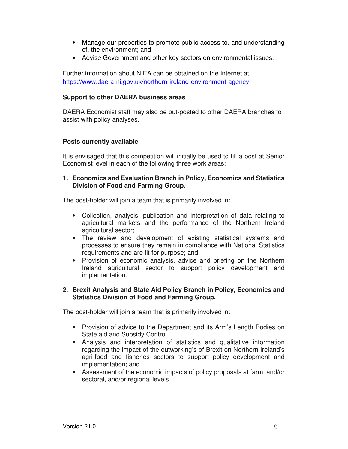- Manage our properties to promote public access to, and understanding of, the environment; and
- Advise Government and other key sectors on environmental issues.

Further information about NIEA can be obtained on the Internet at https://www.daera-ni.gov.uk/northern-ireland-environment-agency

## **Support to other DAERA business areas**

DAERA Economist staff may also be out-posted to other DAERA branches to assist with policy analyses.

## **Posts currently available**

It is envisaged that this competition will initially be used to fill a post at Senior Economist level in each of the following three work areas:

## **1. Economics and Evaluation Branch in Policy, Economics and Statistics Division of Food and Farming Group.**

The post-holder will join a team that is primarily involved in:

- Collection, analysis, publication and interpretation of data relating to agricultural markets and the performance of the Northern Ireland agricultural sector;
- The review and development of existing statistical systems and processes to ensure they remain in compliance with National Statistics requirements and are fit for purpose; and
- Provision of economic analysis, advice and briefing on the Northern Ireland agricultural sector to support policy development and implementation.

## **2. Brexit Analysis and State Aid Policy Branch in Policy, Economics and Statistics Division of Food and Farming Group.**

The post-holder will join a team that is primarily involved in:

- Provision of advice to the Department and its Arm's Length Bodies on State aid and Subsidy Control.
- Analysis and interpretation of statistics and qualitative information regarding the impact of the outworking's of Brexit on Northern Ireland's agri-food and fisheries sectors to support policy development and implementation; and
- Assessment of the economic impacts of policy proposals at farm, and/or sectoral, and/or regional levels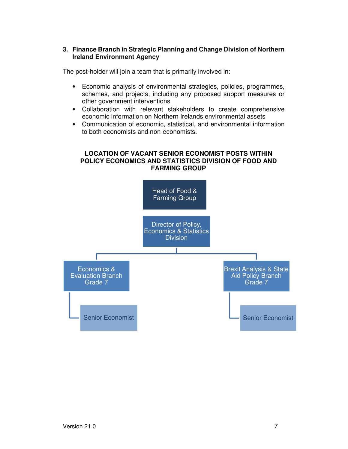## **3. Finance Branch in Strategic Planning and Change Division of Northern Ireland Environment Agency**

The post-holder will join a team that is primarily involved in:

- Economic analysis of environmental strategies, policies, programmes, schemes, and projects, including any proposed support measures or other government interventions
- Collaboration with relevant stakeholders to create comprehensive economic information on Northern Irelands environmental assets
- Communication of economic, statistical, and environmental information to both economists and non-economists.

## **LOCATION OF VACANT SENIOR ECONOMIST POSTS WITHIN POLICY ECONOMICS AND STATISTICS DIVISION OF FOOD AND FARMING GROUP**

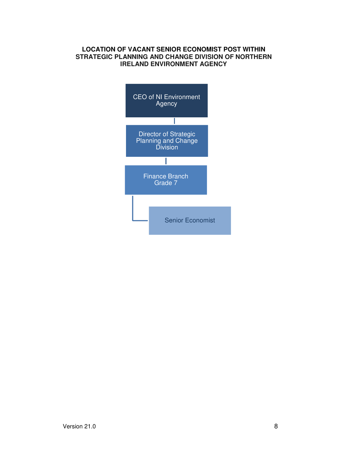## **LOCATION OF VACANT SENIOR ECONOMIST POST WITHIN STRATEGIC PLANNING AND CHANGE DIVISION OF NORTHERN IRELAND ENVIRONMENT AGENCY**

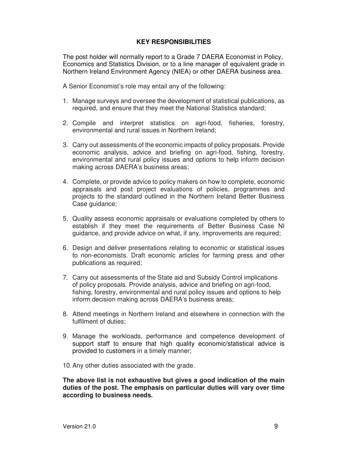## **KEY RESPONSIBILITIES**

The post holder will normally report to a Grade 7 DAERA Economist in Policy, Economics and Statistics Division, or to a line manager of equivalent grade in Northern Ireland Environment Agency (NIEA) or other DAERA business area.

A Senior Economist's role may entail any of the following:

- 1. Manage surveys and oversee the development of statistical publications, as required, and ensure that they meet the National Statistics standard;
- 2. Compile and interpret statistics on agri-food, fisheries, forestry, environmental and rural issues in Northern Ireland;
- 3. Carry out assessments of the economic impacts of policy proposals. Provide economic analysis, advice and briefing on agri-food, fishing, forestry, environmental and rural policy issues and options to help inform decision making across DAERA's business areas;
- 4. Complete, or provide advice to policy makers on how to complete, economic appraisals and post project evaluations of policies, programmes and projects to the standard outlined in the Northern Ireland Better Business Case guidance;
- 5. Quality assess economic appraisals or evaluations completed by others to establish if they meet the requirements of Better Business Case NI guidance, and provide advice on what, if any, improvements are required;
- 6. Design and deliver presentations relating to economic or statistical issues to non-economists. Draft economic articles for farming press and other publications as required;
- 7. Carry out assessments of the State aid and Subsidy Control implications of policy proposals. Provide analysis, advice and briefing on agri-food, fishing, forestry, environmental and rural policy issues and options to help inform decision making across DAERA's business areas;
- 8. Attend meetings in Northern Ireland and elsewhere in connection with the fulfilment of duties;
- 9. Manage the workloads, performance and competence development of support staff to ensure that high quality economic/statistical advice is provided to customers in a timely manner;
- 10. Any other duties associated with the grade.

**The above list is not exhaustive but gives a good indication of the main duties of the post. The emphasis on particular duties will vary over time according to business needs.**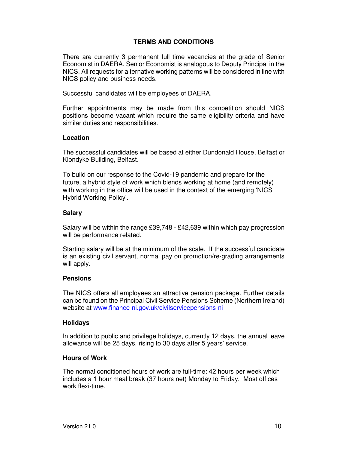## **TERMS AND CONDITIONS**

There are currently 3 permanent full time vacancies at the grade of Senior Economist in DAERA. Senior Economist is analogous to Deputy Principal in the NICS. All requests for alternative working patterns will be considered in line with NICS policy and business needs.

Successful candidates will be employees of DAERA.

Further appointments may be made from this competition should NICS positions become vacant which require the same eligibility criteria and have similar duties and responsibilities.

#### **Location**

The successful candidates will be based at either Dundonald House, Belfast or Klondyke Building, Belfast.

To build on our response to the Covid-19 pandemic and prepare for the future, a hybrid style of work which blends working at home (and remotely) with working in the office will be used in the context of the emerging 'NICS Hybrid Working Policy'.

#### **Salary**

Salary will be within the range £39,748 - £42,639 within which pay progression will be performance related.

Starting salary will be at the minimum of the scale. If the successful candidate is an existing civil servant, normal pay on promotion/re-grading arrangements will apply.

## **Pensions**

The NICS offers all employees an attractive pension package. Further details can be found on the Principal Civil Service Pensions Scheme (Northern Ireland) website at www.finance-ni.gov.uk/civilservicepensions-ni

## **Holidays**

In addition to public and privilege holidays, currently 12 days, the annual leave allowance will be 25 days, rising to 30 days after 5 years' service.

#### **Hours of Work**

The normal conditioned hours of work are full-time: 42 hours per week which includes a 1 hour meal break (37 hours net) Monday to Friday. Most offices work flexi-time.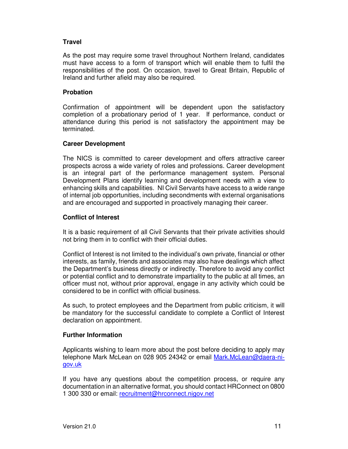## **Travel**

As the post may require some travel throughout Northern Ireland, candidates must have access to a form of transport which will enable them to fulfil the responsibilities of the post. On occasion, travel to Great Britain, Republic of Ireland and further afield may also be required.

## **Probation**

Confirmation of appointment will be dependent upon the satisfactory completion of a probationary period of 1 year. If performance, conduct or attendance during this period is not satisfactory the appointment may be terminated.

## **Career Development**

The NICS is committed to career development and offers attractive career prospects across a wide variety of roles and professions. Career development is an integral part of the performance management system. Personal Development Plans identify learning and development needs with a view to enhancing skills and capabilities. NI Civil Servants have access to a wide range of internal job opportunities, including secondments with external organisations and are encouraged and supported in proactively managing their career.

## **Conflict of Interest**

It is a basic requirement of all Civil Servants that their private activities should not bring them in to conflict with their official duties.

Conflict of Interest is not limited to the individual's own private, financial or other interests, as family, friends and associates may also have dealings which affect the Department's business directly or indirectly. Therefore to avoid any conflict or potential conflict and to demonstrate impartiality to the public at all times, an officer must not, without prior approval, engage in any activity which could be considered to be in conflict with official business.

As such, to protect employees and the Department from public criticism, it will be mandatory for the successful candidate to complete a Conflict of Interest declaration on appointment.

## **Further Information**

Applicants wishing to learn more about the post before deciding to apply may telephone Mark McLean on 028 905 24342 or email Mark.McLean@daera-nigov.uk

If you have any questions about the competition process, or require any documentation in an alternative format, you should contact HRConnect on 0800 1 300 330 or email: recruitment@hrconnect.nigov.net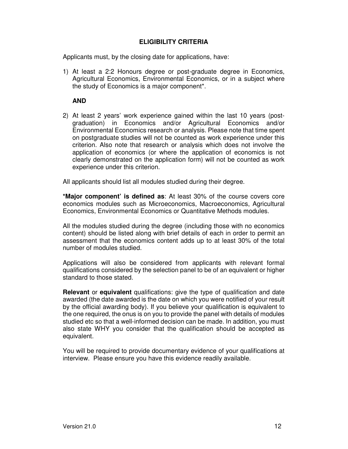## **ELIGIBILITY CRITERIA**

Applicants must, by the closing date for applications, have:

1) At least a 2:2 Honours degree or post-graduate degree in Economics, Agricultural Economics, Environmental Economics, or in a subject where the study of Economics is a major component\*.

**AND** 

2) At least 2 years' work experience gained within the last 10 years (postgraduation) in Economics and/or Agricultural Economics and/or Environmental Economics research or analysis. Please note that time spent on postgraduate studies will not be counted as work experience under this criterion. Also note that research or analysis which does not involve the application of economics (or where the application of economics is not clearly demonstrated on the application form) will not be counted as work experience under this criterion.

All applicants should list all modules studied during their degree.

**\*Major component' is defined as**: At least 30% of the course covers core economics modules such as Microeconomics, Macroeconomics, Agricultural Economics, Environmental Economics or Quantitative Methods modules.

All the modules studied during the degree (including those with no economics content) should be listed along with brief details of each in order to permit an assessment that the economics content adds up to at least 30% of the total number of modules studied.

Applications will also be considered from applicants with relevant formal qualifications considered by the selection panel to be of an equivalent or higher standard to those stated.

**Relevant** or **equivalent** qualifications: give the type of qualification and date awarded (the date awarded is the date on which you were notified of your result by the official awarding body). If you believe your qualification is equivalent to the one required, the onus is on you to provide the panel with details of modules studied etc so that a well-informed decision can be made. In addition, you must also state WHY you consider that the qualification should be accepted as equivalent.

You will be required to provide documentary evidence of your qualifications at interview. Please ensure you have this evidence readily available.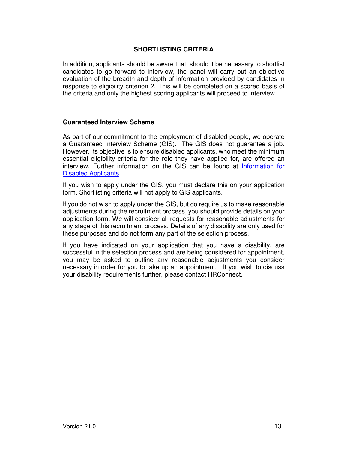## **SHORTLISTING CRITERIA**

In addition, applicants should be aware that, should it be necessary to shortlist candidates to go forward to interview, the panel will carry out an objective evaluation of the breadth and depth of information provided by candidates in response to eligibility criterion 2. This will be completed on a scored basis of the criteria and only the highest scoring applicants will proceed to interview.

#### **Guaranteed Interview Scheme**

As part of our commitment to the employment of disabled people, we operate a Guaranteed Interview Scheme (GIS). The GIS does not guarantee a job. However, its objective is to ensure disabled applicants, who meet the minimum essential eligibility criteria for the role they have applied for, are offered an interview. Further information on the GIS can be found at Information for Disabled Applicants

If you wish to apply under the GIS, you must declare this on your application form. Shortlisting criteria will not apply to GIS applicants.

If you do not wish to apply under the GIS, but do require us to make reasonable adjustments during the recruitment process, you should provide details on your application form. We will consider all requests for reasonable adjustments for any stage of this recruitment process. Details of any disability are only used for these purposes and do not form any part of the selection process.

If you have indicated on your application that you have a disability, are successful in the selection process and are being considered for appointment, you may be asked to outline any reasonable adjustments you consider necessary in order for you to take up an appointment. If you wish to discuss your disability requirements further, please contact HRConnect.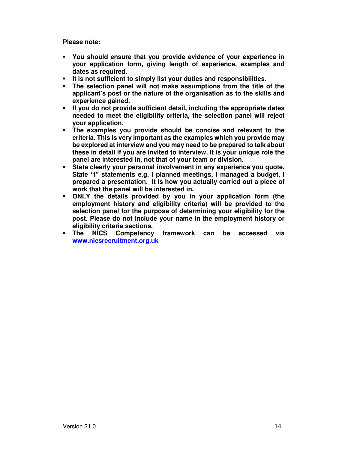**Please note:** 

- **You should ensure that you provide evidence of your experience in your application form, giving length of experience, examples and dates as required.**
- **It is not sufficient to simply list your duties and responsibilities.**
- **The selection panel will not make assumptions from the title of the applicant's post or the nature of the organisation as to the skills and experience gained.**
- **If you do not provide sufficient detail, including the appropriate dates needed to meet the eligibility criteria, the selection panel will reject your application.**
- **The examples you provide should be concise and relevant to the criteria. This is very important as the examples which you provide may be explored at interview and you may need to be prepared to talk about these in detail if you are invited to interview. It is your unique role the panel are interested in, not that of your team or division.**
- **State clearly your personal involvement in any experience you quote. State "I" statements e.g. I planned meetings, I managed a budget, I prepared a presentation. It is how you actually carried out a piece of work that the panel will be interested in.**
- **ONLY the details provided by you in your application form (the employment history and eligibility criteria) will be provided to the selection panel for the purpose of determining your eligibility for the post. Please do not include your name in the employment history or eligibility criteria sections.**
- **The NICS Competency framework can be accessed via www.nicsrecruitment.org.uk**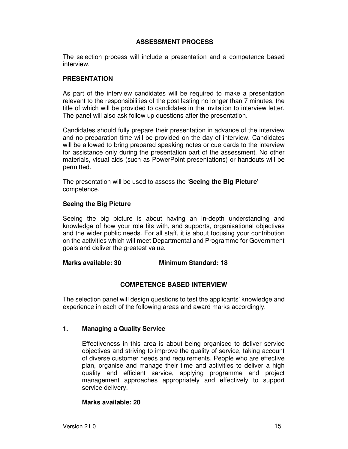## **ASSESSMENT PROCESS**

The selection process will include a presentation and a competence based interview.

#### **PRESENTATION**

As part of the interview candidates will be required to make a presentation relevant to the responsibilities of the post lasting no longer than 7 minutes, the title of which will be provided to candidates in the invitation to interview letter. The panel will also ask follow up questions after the presentation.

Candidates should fully prepare their presentation in advance of the interview and no preparation time will be provided on the day of interview. Candidates will be allowed to bring prepared speaking notes or cue cards to the interview for assistance only during the presentation part of the assessment. No other materials, visual aids (such as PowerPoint presentations) or handouts will be permitted.

The presentation will be used to assess the '**Seeing the Big Picture'** competence.

#### **Seeing the Big Picture**

Seeing the big picture is about having an in-depth understanding and knowledge of how your role fits with, and supports, organisational objectives and the wider public needs. For all staff, it is about focusing your contribution on the activities which will meet Departmental and Programme for Government goals and deliver the greatest value.

#### **Marks available: 30 Minimum Standard: 18**

## **COMPETENCE BASED INTERVIEW**

The selection panel will design questions to test the applicants' knowledge and experience in each of the following areas and award marks accordingly.

#### **1. Managing a Quality Service**

Effectiveness in this area is about being organised to deliver service objectives and striving to improve the quality of service, taking account of diverse customer needs and requirements. People who are effective plan, organise and manage their time and activities to deliver a high quality and efficient service, applying programme and project management approaches appropriately and effectively to support service delivery.

#### **Marks available: 20**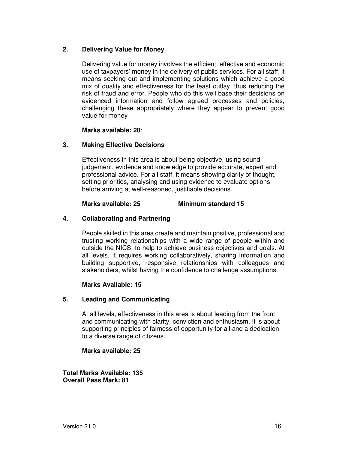## **2. Delivering Value for Money**

Delivering value for money involves the efficient, effective and economic use of taxpayers' money in the delivery of public services. For all staff, it means seeking out and implementing solutions which achieve a good mix of quality and effectiveness for the least outlay, thus reducing the risk of fraud and error. People who do this well base their decisions on evidenced information and follow agreed processes and policies, challenging these appropriately where they appear to prevent good value for money

#### **Marks available: 20**:

## **3. Making Effective Decisions**

Effectiveness in this area is about being objective, using sound judgement, evidence and knowledge to provide accurate, expert and professional advice. For all staff, it means showing clarity of thought, setting priorities, analysing and using evidence to evaluate options before arriving at well-reasoned, justifiable decisions.

## **Marks available: 25 Minimum standard 15**

## **4. Collaborating and Partnering**

People skilled in this area create and maintain positive, professional and trusting working relationships with a wide range of people within and outside the NICS, to help to achieve business objectives and goals. At all levels, it requires working collaboratively, sharing information and building supportive, responsive relationships with colleagues and stakeholders, whilst having the confidence to challenge assumptions.

## **Marks Available: 15**

## **5. Leading and Communicating**

At all levels, effectiveness in this area is about leading from the front and communicating with clarity, conviction and enthusiasm. It is about supporting principles of fairness of opportunity for all and a dedication to a diverse range of citizens.

#### **Marks available: 25**

**Total Marks Available: 135 Overall Pass Mark: 81**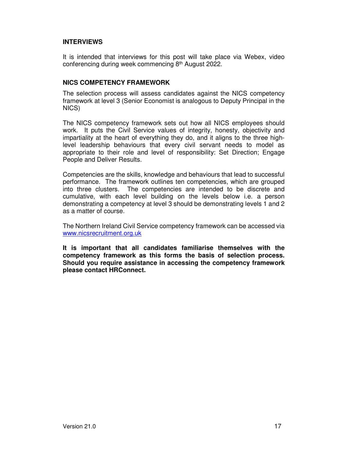## **INTERVIEWS**

It is intended that interviews for this post will take place via Webex, video conferencing during week commencing 8th August 2022.

## **NICS COMPETENCY FRAMEWORK**

The selection process will assess candidates against the NICS competency framework at level 3 (Senior Economist is analogous to Deputy Principal in the NICS)

The NICS competency framework sets out how all NICS employees should work. It puts the Civil Service values of integrity, honesty, objectivity and impartiality at the heart of everything they do, and it aligns to the three highlevel leadership behaviours that every civil servant needs to model as appropriate to their role and level of responsibility: Set Direction; Engage People and Deliver Results.

Competencies are the skills, knowledge and behaviours that lead to successful performance. The framework outlines ten competencies, which are grouped into three clusters. The competencies are intended to be discrete and cumulative, with each level building on the levels below i.e. a person demonstrating a competency at level 3 should be demonstrating levels 1 and 2 as a matter of course.

The Northern Ireland Civil Service competency framework can be accessed via www.nicsrecruitment.org.uk

**It is important that all candidates familiarise themselves with the competency framework as this forms the basis of selection process. Should you require assistance in accessing the competency framework please contact HRConnect.**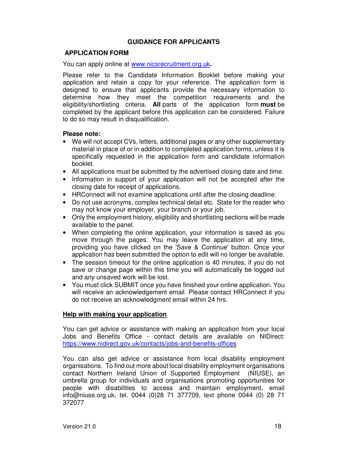## **GUIDANCE FOR APPLICANTS**

## **APPLICATION FORM**

You can apply online at www.nicsrecruitment.org.uk**.** 

Please refer to the Candidate Information Booklet before making your application and retain a copy for your reference. The application form is designed to ensure that applicants provide the necessary information to determine how they meet the competition requirements and the eligibility/shortlisting criteria. **All** parts of the application form **must** be completed by the applicant before this application can be considered. Failure to do so may result in disqualification.

#### **Please note:**

- We will not accept CVs, letters, additional pages or any other supplementary material in place of or in addition to completed application forms, unless it is specifically requested in the application form and candidate information booklet.
- All applications must be submitted by the advertised closing date and time.
- Information in support of your application will not be accepted after the closing date for receipt of applications.
- HRConnect will not examine applications until after the closing deadline.
- Do not use acronyms, complex technical detail etc. State for the reader who may not know your employer, your branch or your job.
- Only the employment history, eligibility and shortlisting sections will be made available to the panel.
- When completing the online application, your information is saved as you move through the pages. You may leave the application at any time, providing you have clicked on the 'Save & Continue' button. Once your application has been submitted the option to edit will no longer be available.
- The session timeout for the online application is 40 minutes, if you do not save or change page within this time you will automatically be logged out and any unsaved work will be lost.
- You must click SUBMIT once you have finished your online application. You will receive an acknowledgement email. Please contact HRConnect if you do not receive an acknowledgment email within 24 hrs.

#### **Help with making your application**

You can get advice or assistance with making an application from your local Jobs and Benefits Office - contact details are available on NIDirect: https://www.nidirect.gov.uk/contacts/jobs-and-benefits-offices

You can also get advice or assistance from local disability employment organisations. To find out more about local disability employment organisations contact Northern Ireland Union of Supported Employment (NIUSE), an umbrella group for individuals and organisations promoting opportunities for people with disabilities to access and maintain employment, email info@niuse.org.uk, tel. 0044 (0)28 71 377709, text phone 0044 (0) 28 71 372077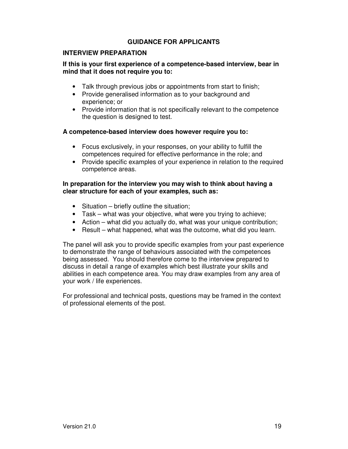## **GUIDANCE FOR APPLICANTS**

## **INTERVIEW PREPARATION**

## **If this is your first experience of a competence-based interview, bear in mind that it does not require you to:**

- Talk through previous jobs or appointments from start to finish;
- Provide generalised information as to your background and experience; or
- Provide information that is not specifically relevant to the competence the question is designed to test.

#### **A competence-based interview does however require you to:**

- Focus exclusively, in your responses, on your ability to fulfill the competences required for effective performance in the role; and
- Provide specific examples of your experience in relation to the required competence areas.

#### **In preparation for the interview you may wish to think about having a clear structure for each of your examples, such as:**

- Situation briefly outline the situation;
- Task what was your objective, what were you trying to achieve;
- Action what did you actually do, what was your unique contribution;
- Result what happened, what was the outcome, what did you learn.

The panel will ask you to provide specific examples from your past experience to demonstrate the range of behaviours associated with the competences being assessed. You should therefore come to the interview prepared to discuss in detail a range of examples which best illustrate your skills and abilities in each competence area. You may draw examples from any area of your work / life experiences.

For professional and technical posts, questions may be framed in the context of professional elements of the post.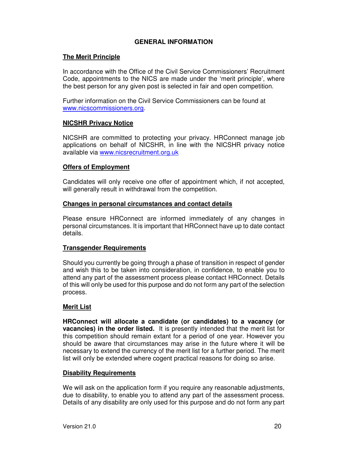## **GENERAL INFORMATION**

## **The Merit Principle**

In accordance with the Office of the Civil Service Commissioners' Recruitment Code, appointments to the NICS are made under the 'merit principle', where the best person for any given post is selected in fair and open competition.

Further information on the Civil Service Commissioners can be found at www.nicscommissioners.org.

#### **NICSHR Privacy Notice**

NICSHR are committed to protecting your privacy. HRConnect manage job applications on behalf of NICSHR, in line with the NICSHR privacy notice available via www.nicsrecruitment.org.uk

## **Offers of Employment**

Candidates will only receive one offer of appointment which, if not accepted, will generally result in withdrawal from the competition.

#### **Changes in personal circumstances and contact details**

Please ensure HRConnect are informed immediately of any changes in personal circumstances. It is important that HRConnect have up to date contact details.

## **Transgender Requirements**

Should you currently be going through a phase of transition in respect of gender and wish this to be taken into consideration, in confidence, to enable you to attend any part of the assessment process please contact HRConnect. Details of this will only be used for this purpose and do not form any part of the selection process.

## **Merit List**

**HRConnect will allocate a candidate (or candidates) to a vacancy (or vacancies) in the order listed.** It is presently intended that the merit list for this competition should remain extant for a period of one year. However you should be aware that circumstances may arise in the future where it will be necessary to extend the currency of the merit list for a further period. The merit list will only be extended where cogent practical reasons for doing so arise.

#### **Disability Requirements**

We will ask on the application form if you require any reasonable adjustments, due to disability, to enable you to attend any part of the assessment process. Details of any disability are only used for this purpose and do not form any part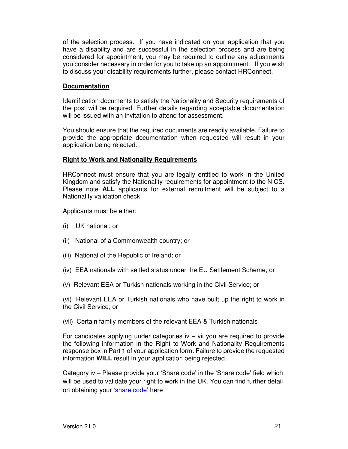of the selection process. If you have indicated on your application that you have a disability and are successful in the selection process and are being considered for appointment, you may be required to outline any adjustments you consider necessary in order for you to take up an appointment. If you wish to discuss your disability requirements further, please contact HRConnect.

## **Documentation**

Identification documents to satisfy the Nationality and Security requirements of the post will be required. Further details regarding acceptable documentation will be issued with an invitation to attend for assessment.

You should ensure that the required documents are readily available. Failure to provide the appropriate documentation when requested will result in your application being rejected.

## **Right to Work and Nationality Requirements**

HRConnect must ensure that you are legally entitled to work in the United Kingdom and satisfy the Nationality requirements for appointment to the NICS. Please note **ALL** applicants for external recruitment will be subject to a Nationality validation check.

Applicants must be either:

- (i) UK national; or
- (ii) National of a Commonwealth country; or
- (iii) National of the Republic of Ireland; or
- (iv) EEA nationals with settled status under the EU Settlement Scheme; or
- (v) Relevant EEA or Turkish nationals working in the Civil Service; or

(vi) Relevant EEA or Turkish nationals who have built up the right to work in the Civil Service; or

(vii) Certain family members of the relevant EEA & Turkish nationals

For candidates applying under categories  $iv - vii$  you are required to provide the following information in the Right to Work and Nationality Requirements response box in Part 1 of your application form. Failure to provide the requested information **WILL** result in your application being rejected.

Category iv – Please provide your 'Share code' in the 'Share code' field which will be used to validate your right to work in the UK. You can find further detail on obtaining your 'share code' here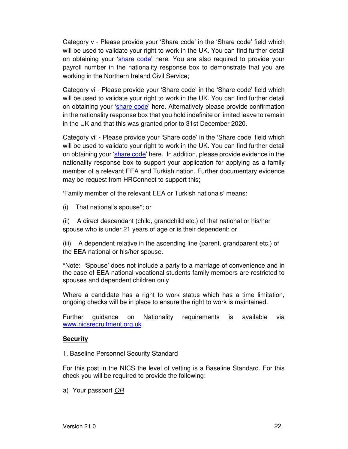Category v - Please provide your 'Share code' in the 'Share code' field which will be used to validate your right to work in the UK. You can find further detail on obtaining your 'share code' here. You are also required to provide your payroll number in the nationality response box to demonstrate that you are working in the Northern Ireland Civil Service;

Category vi - Please provide your 'Share code' in the 'Share code' field which will be used to validate your right to work in the UK. You can find further detail on obtaining your 'share code' here. Alternatively please provide confirmation in the nationality response box that you hold indefinite or limited leave to remain in the UK and that this was granted prior to 31st December 2020.

Category vii - Please provide your 'Share code' in the 'Share code' field which will be used to validate your right to work in the UK. You can find further detail on obtaining your 'share code' here. In addition, please provide evidence in the nationality response box to support your application for applying as a family member of a relevant EEA and Turkish nation. Further documentary evidence may be request from HRConnect to support this;

'Family member of the relevant EEA or Turkish nationals' means:

(i) That national's spouse\*; or

(ii) A direct descendant (child, grandchild etc.) of that national or his/her spouse who is under 21 years of age or is their dependent; or

(iii) A dependent relative in the ascending line (parent, grandparent etc.) of the EEA national or his/her spouse.

\*Note: 'Spouse' does not include a party to a marriage of convenience and in the case of EEA national vocational students family members are restricted to spouses and dependent children only

Where a candidate has a right to work status which has a time limitation, ongoing checks will be in place to ensure the right to work is maintained.

Further guidance on Nationality requirements is available via www.nicsrecruitment.org.uk.

## **Security**

1. Baseline Personnel Security Standard

For this post in the NICS the level of vetting is a Baseline Standard. For this check you will be required to provide the following:

a) Your passport OR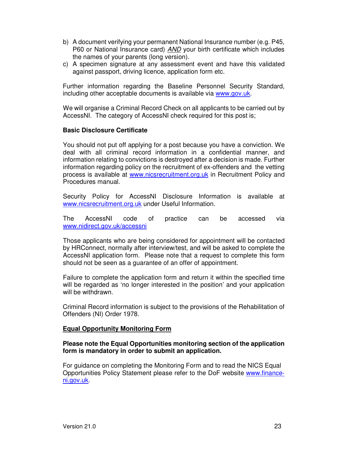- b) A document verifying your permanent National Insurance number (e.g. P45, P60 or National Insurance card) AND your birth certificate which includes the names of your parents (long version).
- c) A specimen signature at any assessment event and have this validated against passport, driving licence, application form etc.

Further information regarding the Baseline Personnel Security Standard, including other acceptable documents is available via www.gov.uk.

We will organise a Criminal Record Check on all applicants to be carried out by AccessNI. The category of AccessNI check required for this post is;

## **Basic Disclosure Certificate**

You should not put off applying for a post because you have a conviction. We deal with all criminal record information in a confidential manner, and information relating to convictions is destroyed after a decision is made. Further information regarding policy on the recruitment of ex-offenders and the vetting process is available at www.nicsrecruitment.org.uk in Recruitment Policy and Procedures manual.

Security Policy for AccessNI Disclosure Information is available at www.nicsrecruitment.org.uk under Useful Information.

The AccessNI code of practice can be accessed via www.nidirect.gov.uk/accessni

Those applicants who are being considered for appointment will be contacted by HRConnect, normally after interview/test, and will be asked to complete the AccessNI application form. Please note that a request to complete this form should not be seen as a guarantee of an offer of appointment.

Failure to complete the application form and return it within the specified time will be regarded as 'no longer interested in the position' and your application will be withdrawn.

Criminal Record information is subject to the provisions of the Rehabilitation of Offenders (NI) Order 1978.

## **Equal Opportunity Monitoring Form**

## **Please note the Equal Opportunities monitoring section of the application form is mandatory in order to submit an application.**

For guidance on completing the Monitoring Form and to read the NICS Equal Opportunities Policy Statement please refer to the DoF website www.financeni.gov.uk.